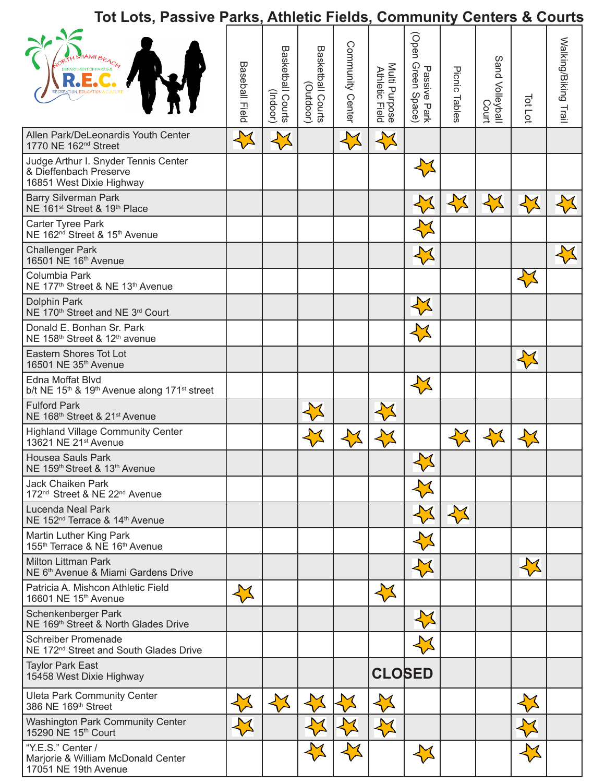|                                                                                                      | Tot Lots, Passive Parks, Athletic Fields, Community Centers & Courts |                               |                                          |                  |                                 |                                         |               |                                  |         |                      |  |  |
|------------------------------------------------------------------------------------------------------|----------------------------------------------------------------------|-------------------------------|------------------------------------------|------------------|---------------------------------|-----------------------------------------|---------------|----------------------------------|---------|----------------------|--|--|
|                                                                                                      | Baseball Field                                                       | Basketball Courts<br>(Indoor) | Basketball Courts<br>Basketball Coutdor) | Community Center | Multi Purpose<br>Athletic Field | (Open<br>Passive Park<br>1 Green Space) | Picnic Tables | Sand Volleyball<br>Isotolleyball | Tot Lot | Walking/Biking Trail |  |  |
| Allen Park/DeLeonardis Youth Center<br>1770 NE 162 <sup>nd</sup> Street                              |                                                                      |                               |                                          |                  |                                 |                                         |               |                                  |         |                      |  |  |
| Judge Arthur I. Snyder Tennis Center<br>& Dieffenbach Preserve<br>16851 West Dixie Highway           |                                                                      |                               |                                          |                  |                                 |                                         |               |                                  |         |                      |  |  |
| <b>Barry Silverman Park</b><br>NE 161 <sup>st</sup> Street & 19 <sup>th</sup> Place                  |                                                                      |                               |                                          |                  |                                 |                                         |               |                                  |         |                      |  |  |
| Carter Tyree Park<br>NE 162 <sup>nd</sup> Street & 15 <sup>th</sup> Avenue                           |                                                                      |                               |                                          |                  |                                 |                                         |               |                                  |         |                      |  |  |
| <b>Challenger Park</b><br>16501 NE 16 <sup>th</sup> Avenue                                           |                                                                      |                               |                                          |                  |                                 |                                         |               |                                  |         |                      |  |  |
| Columbia Park<br>NE 177 <sup>th</sup> Street & NE 13 <sup>th</sup> Avenue                            |                                                                      |                               |                                          |                  |                                 |                                         |               |                                  |         |                      |  |  |
| Dolphin Park<br>NE 170 <sup>th</sup> Street and NE 3 <sup>rd</sup> Court                             |                                                                      |                               |                                          |                  |                                 |                                         |               |                                  |         |                      |  |  |
| Donald E. Bonhan Sr. Park<br>NE 158th Street & 12th avenue                                           |                                                                      |                               |                                          |                  |                                 |                                         |               |                                  |         |                      |  |  |
| Eastern Shores Tot Lot<br>16501 NE 35 <sup>th</sup> Avenue                                           |                                                                      |                               |                                          |                  |                                 |                                         |               |                                  |         |                      |  |  |
| Edna Moffat Blvd<br>b/t NE 15 <sup>th</sup> & 19 <sup>th</sup> Avenue along 171 <sup>st</sup> street |                                                                      |                               |                                          |                  |                                 |                                         |               |                                  |         |                      |  |  |
| <b>Fulford Park</b><br>NE 168th Street & 21st Avenue                                                 |                                                                      |                               |                                          |                  |                                 |                                         |               |                                  |         |                      |  |  |
| <b>Highland Village Community Center</b><br>13621 NE 21 <sup>st</sup> Avenue                         |                                                                      |                               |                                          |                  |                                 |                                         |               |                                  |         |                      |  |  |
| Housea Sauls Park<br>NE 159th Street & 13th Avenue                                                   |                                                                      |                               |                                          |                  |                                 | $\mathbf{N}$                            |               |                                  |         |                      |  |  |
| Jack Chaiken Park<br>172 <sup>nd</sup> Street & NE 22 <sup>nd</sup> Avenue                           |                                                                      |                               |                                          |                  |                                 |                                         |               |                                  |         |                      |  |  |
| Lucenda Neal Park<br>NE 152 <sup>nd</sup> Terrace & 14 <sup>th</sup> Avenue                          |                                                                      |                               |                                          |                  |                                 |                                         | ₩             |                                  |         |                      |  |  |
| Martin Luther King Park<br>155 <sup>th</sup> Terrace & NE 16 <sup>th</sup> Avenue                    |                                                                      |                               |                                          |                  |                                 |                                         |               |                                  |         |                      |  |  |
| <b>Milton Littman Park</b><br>NE 6th Avenue & Miami Gardens Drive                                    |                                                                      |                               |                                          |                  |                                 | ₩                                       |               |                                  |         |                      |  |  |
| Patricia A. Mishcon Athletic Field<br>16601 NE 15 <sup>th</sup> Avenue                               | $\sum$                                                               |                               |                                          |                  | $\sum$                          |                                         |               |                                  |         |                      |  |  |
| Schenkenberger Park<br>NE 169 <sup>th</sup> Street & North Glades Drive                              |                                                                      |                               |                                          |                  |                                 |                                         |               |                                  |         |                      |  |  |
| <b>Schreiber Promenade</b><br>NE 172 <sup>nd</sup> Street and South Glades Drive                     |                                                                      |                               |                                          |                  |                                 |                                         |               |                                  |         |                      |  |  |
| <b>Taylor Park East</b><br>15458 West Dixie Highway                                                  |                                                                      |                               |                                          |                  | <b>CLOSED</b>                   |                                         |               |                                  |         |                      |  |  |
| <b>Uleta Park Community Center</b><br>386 NE 169th Street                                            |                                                                      |                               |                                          |                  |                                 |                                         |               |                                  |         |                      |  |  |
| <b>Washington Park Community Center</b><br>15290 NE 15th Court                                       |                                                                      |                               |                                          |                  |                                 |                                         |               |                                  |         |                      |  |  |
| "Y.E.S." Center /<br>Marjorie & William McDonald Center<br>17051 NE 19th Avenue                      |                                                                      |                               |                                          |                  |                                 |                                         |               |                                  |         |                      |  |  |